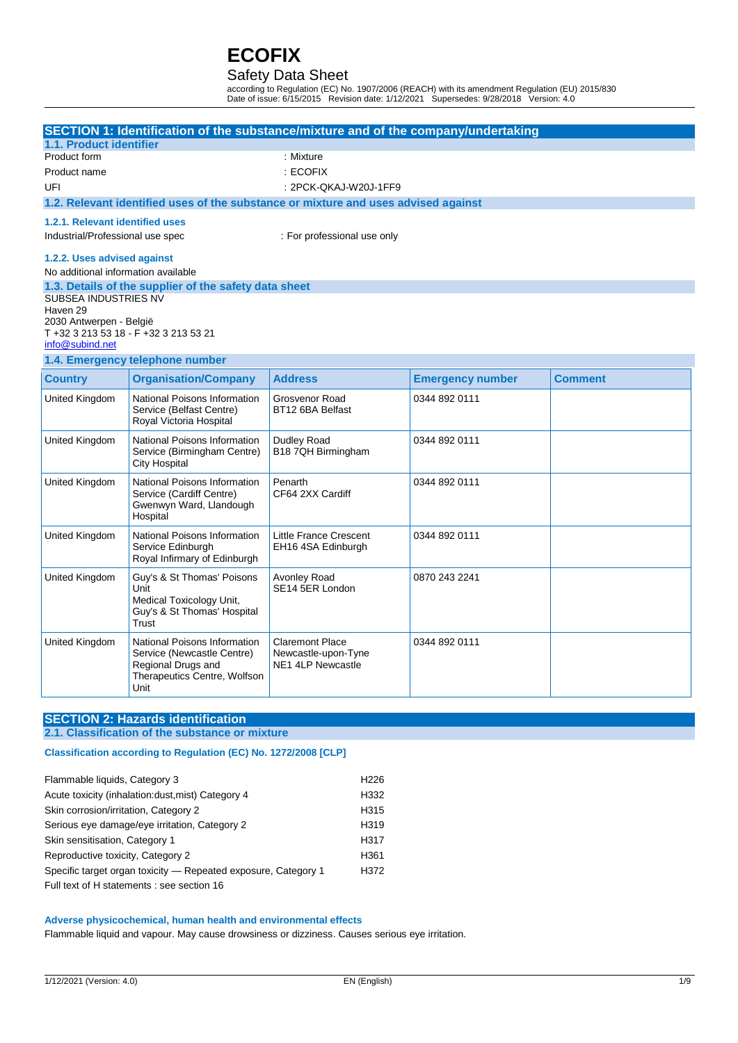## Safety Data Sheet

according to Regulation (EC) No. 1907/2006 (REACH) with its amendment Regulation (EU) 2015/830 Date of issue: 6/15/2015 Revision date: 1/12/2021 Supersedes: 9/28/2018 Version: 4.0

|                                     | SECTION 1: Identification of the substance/mixture and of the company/undertaking  |                                    |                         |                |  |
|-------------------------------------|------------------------------------------------------------------------------------|------------------------------------|-------------------------|----------------|--|
| 1.1. Product identifier             |                                                                                    |                                    |                         |                |  |
| Product form                        |                                                                                    | : Mixture                          |                         |                |  |
| Product name                        |                                                                                    | : ECOFIX                           |                         |                |  |
| UFI                                 |                                                                                    | : 2PCK-QKAJ-W20J-1FF9              |                         |                |  |
|                                     | 1.2. Relevant identified uses of the substance or mixture and uses advised against |                                    |                         |                |  |
| 1.2.1. Relevant identified uses     |                                                                                    |                                    |                         |                |  |
| Industrial/Professional use spec    |                                                                                    | : For professional use only        |                         |                |  |
| 1.2.2. Uses advised against         |                                                                                    |                                    |                         |                |  |
| No additional information available |                                                                                    |                                    |                         |                |  |
|                                     | 1.3. Details of the supplier of the safety data sheet                              |                                    |                         |                |  |
| SUBSEA INDUSTRIES NV                |                                                                                    |                                    |                         |                |  |
| Haven 29<br>2030 Antwerpen - België |                                                                                    |                                    |                         |                |  |
|                                     | T +32 3 213 53 18 - F +32 3 213 53 21                                              |                                    |                         |                |  |
| info@subind.net                     |                                                                                    |                                    |                         |                |  |
|                                     | 1.4. Emergency telephone number                                                    |                                    |                         |                |  |
| <b>Country</b>                      | <b>Organisation/Company</b>                                                        | <b>Address</b>                     | <b>Emergency number</b> | <b>Comment</b> |  |
| United Kingdom                      | National Poisons Information<br>Service (Belfast Centre)                           | Grosvenor Road<br>BT12 6BA Belfast | 0344 892 0111           |                |  |
|                                     | Royal Victoria Hospital                                                            |                                    |                         |                |  |
| United Kingdom                      | National Poisons Information<br>Service (Birmingham Centre)                        | Dudley Road<br>B18 7QH Birmingham  | 0344 892 0111           |                |  |
|                                     | <b>City Hospital</b>                                                               |                                    |                         |                |  |
| United Kingdom                      | National Poisons Information                                                       | Penarth                            | 0344 892 0111           |                |  |
|                                     | Service (Cardiff Centre)<br>Gwenwyn Ward, Llandough                                | CF64 2XX Cardiff                   |                         |                |  |
|                                     | Hospital                                                                           |                                    |                         |                |  |
| United Kingdom                      | National Poisons Information                                                       | <b>Little France Crescent</b>      | 0344 892 0111           |                |  |
|                                     | Service Edinburgh                                                                  | EH16 4SA Edinburgh                 |                         |                |  |
|                                     | Royal Infirmary of Edinburgh                                                       |                                    |                         |                |  |
| United Kingdom                      | Guy's & St Thomas' Poisons<br>Unit                                                 | Avonley Road<br>SE14 5ER London    | 0870 243 2241           |                |  |
|                                     | Medical Toxicology Unit,                                                           |                                    |                         |                |  |
|                                     | Guy's & St Thomas' Hospital                                                        |                                    |                         |                |  |
|                                     | Trust                                                                              |                                    |                         |                |  |
| United Kingdom                      | National Poisons Information                                                       | <b>Claremont Place</b>             | 0344 892 0111           |                |  |
|                                     | Service (Newcastle Centre)                                                         | Newcastle-upon-Tyne                |                         |                |  |
|                                     | Regional Drugs and                                                                 | <b>NE1 4LP Newcastle</b>           |                         |                |  |
|                                     | Therapeutics Centre, Wolfson<br>Unit                                               |                                    |                         |                |  |

## **SECTION 2: Hazards identification**

### **2.1. Classification of the substance or mixture**

## **Classification according to Regulation (EC) No. 1272/2008 [CLP]**

| Flammable liquids, Category 3                                  | H <sub>226</sub> |
|----------------------------------------------------------------|------------------|
| Acute toxicity (inhalation:dust, mist) Category 4              | H332             |
| Skin corrosion/irritation, Category 2                          | H <sub>315</sub> |
| Serious eye damage/eye irritation, Category 2                  | H <sub>319</sub> |
| Skin sensitisation, Category 1                                 | H317             |
| Reproductive toxicity, Category 2                              | H <sub>361</sub> |
| Specific target organ toxicity – Repeated exposure, Category 1 | H372             |
| Full text of H statements : see section 16                     |                  |

### **Adverse physicochemical, human health and environmental effects**

Flammable liquid and vapour. May cause drowsiness or dizziness. Causes serious eye irritation.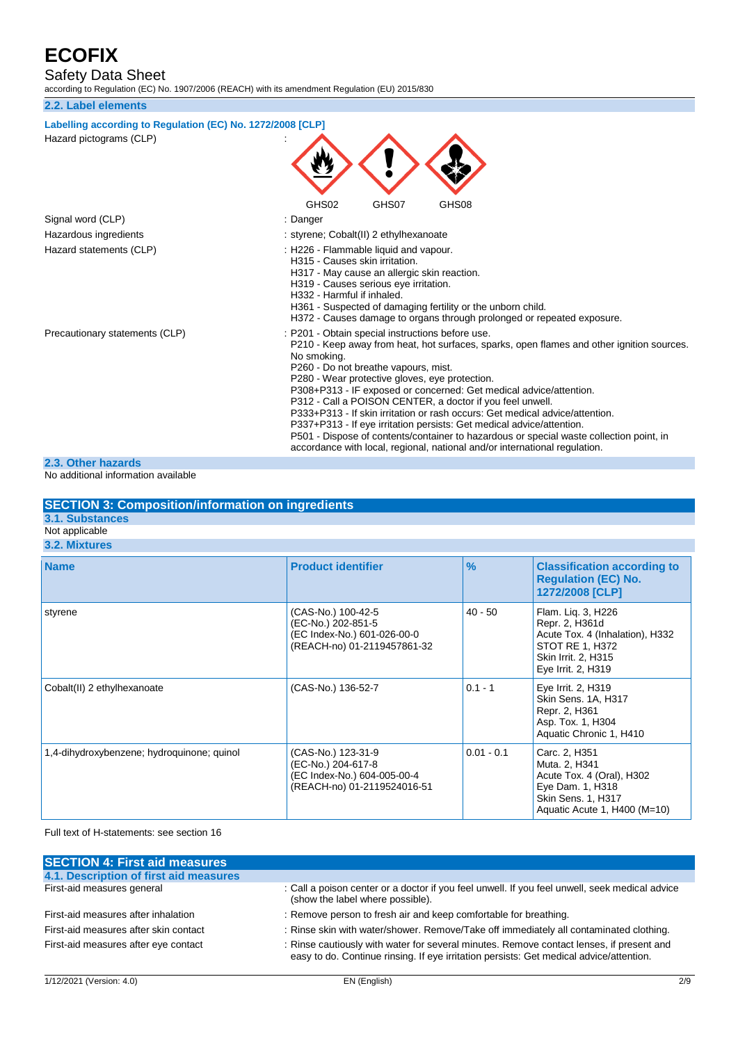Safety Data Sheet

according to Regulation (EC) No. 1907/2006 (REACH) with its amendment Regulation (EU) 2015/830

## **2.2. Label elements**

| Labelling according to Regulation (EC) No. 1272/2008 [CLP]<br>Hazard pictograms (CLP) |                                                                                                                                                                                                                                                                                                                                                                                                                                                                                                                                                                                                                                                                                                                             |
|---------------------------------------------------------------------------------------|-----------------------------------------------------------------------------------------------------------------------------------------------------------------------------------------------------------------------------------------------------------------------------------------------------------------------------------------------------------------------------------------------------------------------------------------------------------------------------------------------------------------------------------------------------------------------------------------------------------------------------------------------------------------------------------------------------------------------------|
|                                                                                       | GHS02<br>GHS07<br>GHS08                                                                                                                                                                                                                                                                                                                                                                                                                                                                                                                                                                                                                                                                                                     |
| Signal word (CLP)                                                                     | : Danger                                                                                                                                                                                                                                                                                                                                                                                                                                                                                                                                                                                                                                                                                                                    |
| Hazardous ingredients                                                                 | : styrene; Cobalt(II) 2 ethylhexanoate                                                                                                                                                                                                                                                                                                                                                                                                                                                                                                                                                                                                                                                                                      |
| Hazard statements (CLP)                                                               | : H226 - Flammable liquid and vapour.<br>H315 - Causes skin irritation.<br>H317 - May cause an allergic skin reaction.<br>H319 - Causes serious eye irritation.<br>H332 - Harmful if inhaled.<br>H361 - Suspected of damaging fertility or the unborn child.<br>H372 - Causes damage to organs through prolonged or repeated exposure.                                                                                                                                                                                                                                                                                                                                                                                      |
| Precautionary statements (CLP)                                                        | : P201 - Obtain special instructions before use.<br>P210 - Keep away from heat, hot surfaces, sparks, open flames and other ignition sources.<br>No smoking.<br>P260 - Do not breathe vapours, mist.<br>P280 - Wear protective gloves, eye protection.<br>P308+P313 - IF exposed or concerned: Get medical advice/attention.<br>P312 - Call a POISON CENTER, a doctor if you feel unwell.<br>P333+P313 - If skin irritation or rash occurs: Get medical advice/attention.<br>P337+P313 - If eye irritation persists: Get medical advice/attention.<br>P501 - Dispose of contents/container to hazardous or special waste collection point, in<br>accordance with local, regional, national and/or international regulation. |
| 2.3. Other hazards                                                                    |                                                                                                                                                                                                                                                                                                                                                                                                                                                                                                                                                                                                                                                                                                                             |

No additional information available

| <b>SECTION 3: Composition/information on ingredients</b> |                                                                                                        |               |                                                                                                                                         |
|----------------------------------------------------------|--------------------------------------------------------------------------------------------------------|---------------|-----------------------------------------------------------------------------------------------------------------------------------------|
| 3.1. Substances                                          |                                                                                                        |               |                                                                                                                                         |
| Not applicable                                           |                                                                                                        |               |                                                                                                                                         |
| 3.2. Mixtures                                            |                                                                                                        |               |                                                                                                                                         |
| <b>Name</b>                                              | <b>Product identifier</b>                                                                              | $\frac{9}{6}$ | <b>Classification according to</b><br><b>Regulation (EC) No.</b><br>1272/2008 [CLP]                                                     |
| styrene                                                  | (CAS-No.) 100-42-5<br>(EC-No.) 202-851-5<br>(EC Index-No.) 601-026-00-0<br>(REACH-no) 01-2119457861-32 | $40 - 50$     | Flam. Lig. 3, H226<br>Repr. 2, H361d<br>Acute Tox. 4 (Inhalation), H332<br>STOT RE 1, H372<br>Skin Irrit. 2, H315<br>Eye Irrit. 2, H319 |
| Cobalt(II) 2 ethylhexanoate                              | (CAS-No.) 136-52-7                                                                                     | $0.1 - 1$     | Eye Irrit. 2, H319<br>Skin Sens. 1A, H317<br>Repr. 2, H361<br>Asp. Tox. 1, H304<br>Aquatic Chronic 1, H410                              |
| 1,4-dihydroxybenzene; hydroquinone; quinol               | (CAS-No.) 123-31-9<br>(EC-No.) 204-617-8<br>(EC Index-No.) 604-005-00-4<br>(REACH-no) 01-2119524016-51 | $0.01 - 0.1$  | Carc. 2, H351<br>Muta. 2, H341<br>Acute Tox. 4 (Oral), H302<br>Eye Dam. 1, H318<br>Skin Sens. 1, H317<br>Aquatic Acute 1, H400 (M=10)   |

### Full text of H-statements: see section 16

| <b>SECTION 4: First aid measures</b>                                                                                            |                                                                                                                                                                                     |
|---------------------------------------------------------------------------------------------------------------------------------|-------------------------------------------------------------------------------------------------------------------------------------------------------------------------------------|
| 4.1. Description of first aid measures                                                                                          |                                                                                                                                                                                     |
| First-aid measures general                                                                                                      | : Call a poison center or a doctor if you feel unwell. If you feel unwell, seek medical advice<br>(show the label where possible).                                                  |
| First-aid measures after inhalation                                                                                             | : Remove person to fresh air and keep comfortable for breathing.                                                                                                                    |
| : Rinse skin with water/shower. Remove/Take off immediately all contaminated clothing.<br>First-aid measures after skin contact |                                                                                                                                                                                     |
| First-aid measures after eye contact                                                                                            | : Rinse cautiously with water for several minutes. Remove contact lenses, if present and<br>easy to do. Continue rinsing. If eye irritation persists: Get medical advice/attention. |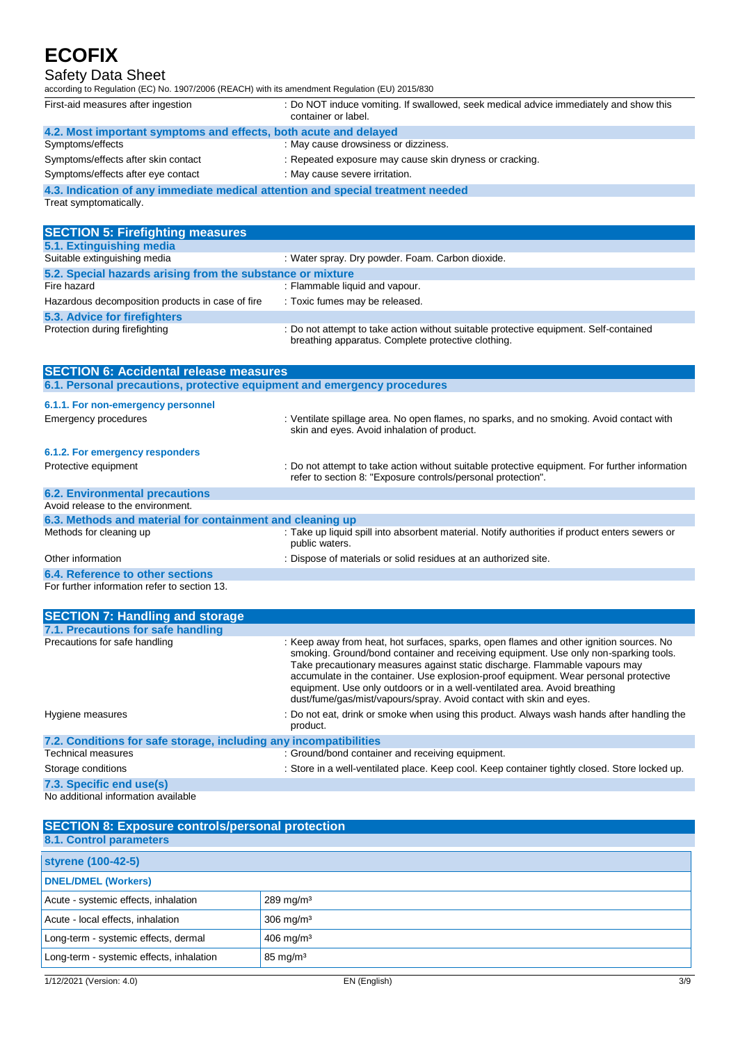## Safety Data Sheet

according to Regulation (EC) No. 1907/2006 (REACH) with its amendment Regulation (EU) 2015/830

| according to incidiation (EO) had. Toon/2000 (The North With its amonitment incidiation (EO) 2010/000     |                                                                                                              |  |  |
|-----------------------------------------------------------------------------------------------------------|--------------------------------------------------------------------------------------------------------------|--|--|
| First-aid measures after ingestion                                                                        | : Do NOT induce vomiting. If swallowed, seek medical advice immediately and show this<br>container or label. |  |  |
| 4.2. Most important symptoms and effects, both acute and delayed                                          |                                                                                                              |  |  |
| Symptoms/effects                                                                                          | : May cause drowsiness or dizziness.                                                                         |  |  |
| Symptoms/effects after skin contact                                                                       | : Repeated exposure may cause skin dryness or cracking.                                                      |  |  |
| Symptoms/effects after eye contact                                                                        | : May cause severe irritation.                                                                               |  |  |
| 4.3. Indication of any immediate medical attention and special treatment needed<br>Treat symptomatically. |                                                                                                              |  |  |
| <b>SECTION 5: Firefighting measures</b>                                                                   |                                                                                                              |  |  |
| 5.1. Extinguishing media                                                                                  |                                                                                                              |  |  |
| Suitable extinguishing media                                                                              | : Water spray. Dry powder. Foam. Carbon dioxide.                                                             |  |  |
| 5.2. Special hazards arising from the substance or mixture                                                |                                                                                                              |  |  |

| <b>UILI UNUURI HULUI UU UHUHU HIU HIU UUNULUI UU</b> THIALUI U |                                                                                                                                             |
|----------------------------------------------------------------|---------------------------------------------------------------------------------------------------------------------------------------------|
| Fire hazard                                                    | : Flammable liquid and vapour.                                                                                                              |
| Hazardous decomposition products in case of fire               | : Toxic fumes may be released.                                                                                                              |
| <b>5.3. Advice for firefighters</b>                            |                                                                                                                                             |
| Protection during firefighting                                 | : Do not attempt to take action without suitable protective equipment. Self-contained<br>breathing apparatus. Complete protective clothing. |

| <b>SECTION 6: Accidental release measures</b>                            |                                                                                                                                                                |  |  |  |
|--------------------------------------------------------------------------|----------------------------------------------------------------------------------------------------------------------------------------------------------------|--|--|--|
| 6.1. Personal precautions, protective equipment and emergency procedures |                                                                                                                                                                |  |  |  |
| 6.1.1. For non-emergency personnel                                       |                                                                                                                                                                |  |  |  |
| Emergency procedures                                                     | : Ventilate spillage area. No open flames, no sparks, and no smoking. Avoid contact with<br>skin and eyes. Avoid inhalation of product.                        |  |  |  |
| 6.1.2. For emergency responders                                          |                                                                                                                                                                |  |  |  |
| Protective equipment                                                     | : Do not attempt to take action without suitable protective equipment. For further information<br>refer to section 8: "Exposure controls/personal protection". |  |  |  |
| <b>6.2. Environmental precautions</b>                                    |                                                                                                                                                                |  |  |  |
| Avoid release to the environment.                                        |                                                                                                                                                                |  |  |  |
| 6.3. Methods and material for containment and cleaning up                |                                                                                                                                                                |  |  |  |
| Methods for cleaning up                                                  | : Take up liquid spill into absorbent material. Notify authorities if product enters sewers or<br>public waters.                                               |  |  |  |
| Other information                                                        | : Dispose of materials or solid residues at an authorized site.                                                                                                |  |  |  |
| 6.4. Reference to other sections                                         |                                                                                                                                                                |  |  |  |
| For further information refer to section 13.                             |                                                                                                                                                                |  |  |  |

| <b>SECTION 7: Handling and storage</b>                            |                                                                                                                                                                                                                                                                                                                                                                                                                                                                                                             |
|-------------------------------------------------------------------|-------------------------------------------------------------------------------------------------------------------------------------------------------------------------------------------------------------------------------------------------------------------------------------------------------------------------------------------------------------------------------------------------------------------------------------------------------------------------------------------------------------|
| 7.1. Precautions for safe handling                                |                                                                                                                                                                                                                                                                                                                                                                                                                                                                                                             |
| Precautions for safe handling                                     | : Keep away from heat, hot surfaces, sparks, open flames and other ignition sources. No<br>smoking. Ground/bond container and receiving equipment. Use only non-sparking tools.<br>Take precautionary measures against static discharge. Flammable vapours may<br>accumulate in the container. Use explosion-proof equipment. Wear personal protective<br>equipment. Use only outdoors or in a well-ventilated area. Avoid breathing<br>dust/fume/gas/mist/vapours/spray. Avoid contact with skin and eyes. |
| Hygiene measures                                                  | : Do not eat, drink or smoke when using this product. Always wash hands after handling the<br>product.                                                                                                                                                                                                                                                                                                                                                                                                      |
| 7.2. Conditions for safe storage, including any incompatibilities |                                                                                                                                                                                                                                                                                                                                                                                                                                                                                                             |
| Technical measures                                                | : Ground/bond container and receiving equipment.                                                                                                                                                                                                                                                                                                                                                                                                                                                            |
| Storage conditions                                                | : Store in a well-ventilated place. Keep cool. Keep container tightly closed. Store locked up.                                                                                                                                                                                                                                                                                                                                                                                                              |
| 7.3. Specific end use(s)                                          |                                                                                                                                                                                                                                                                                                                                                                                                                                                                                                             |
| No additional information available                               |                                                                                                                                                                                                                                                                                                                                                                                                                                                                                                             |

| <b>SECTION 8: Exposure controls/personal protection</b><br>8.1. Control parameters |                         |  |  |
|------------------------------------------------------------------------------------|-------------------------|--|--|
| styrene (100-42-5)                                                                 |                         |  |  |
| <b>DNEL/DMEL (Workers)</b>                                                         |                         |  |  |
| Acute - systemic effects, inhalation                                               | $289$ mg/m <sup>3</sup> |  |  |
| Acute - local effects, inhalation                                                  | $306$ mg/m <sup>3</sup> |  |  |
| Long-term - systemic effects, dermal                                               | $406$ mg/m <sup>3</sup> |  |  |
| Long-term - systemic effects, inhalation                                           | $85 \text{ mg/m}^3$     |  |  |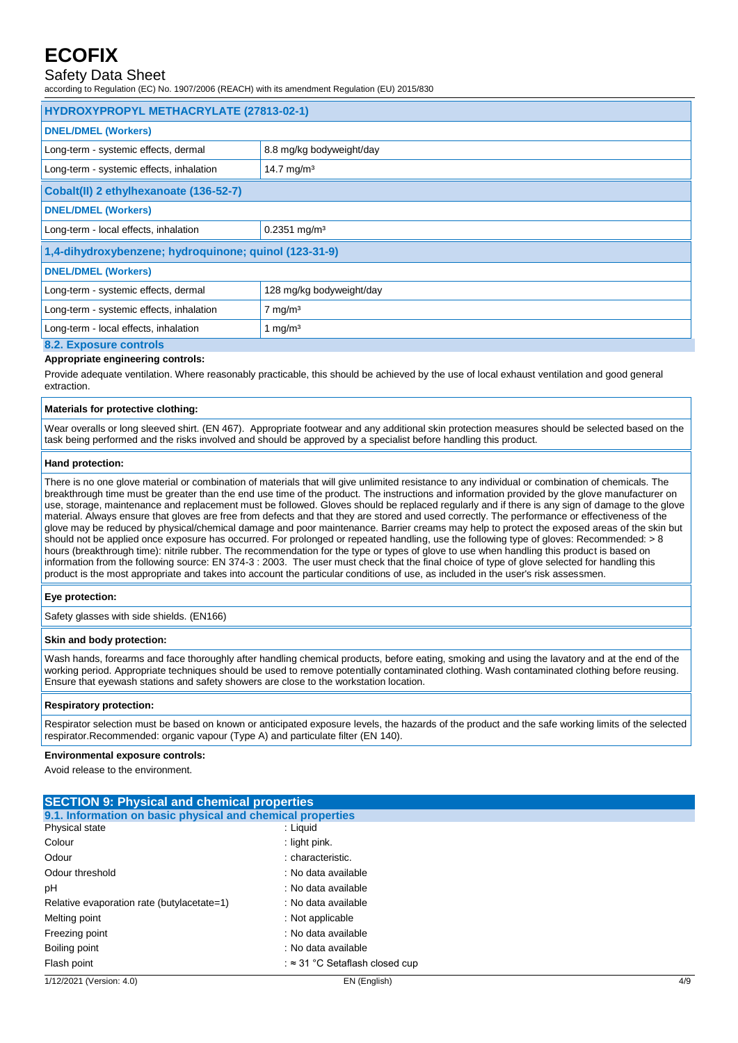# Safety Data Sheet

according to Regulation (EC) No. 1907/2006 (REACH) with its amendment Regulation (EU) 2015/830

| HYDROXYPROPYL METHACRYLATE (27813-02-1)               |                            |  |  |
|-------------------------------------------------------|----------------------------|--|--|
| <b>DNEL/DMEL (Workers)</b>                            |                            |  |  |
| Long-term - systemic effects, dermal                  | 8.8 mg/kg bodyweight/day   |  |  |
| Long-term - systemic effects, inhalation              | 14.7 mg/m <sup>3</sup>     |  |  |
| Cobalt(II) 2 ethylhexanoate (136-52-7)                |                            |  |  |
| <b>DNEL/DMEL (Workers)</b>                            |                            |  |  |
| Long-term - local effects, inhalation                 | $0.2351$ mg/m <sup>3</sup> |  |  |
| 1,4-dihydroxybenzene; hydroquinone; quinol (123-31-9) |                            |  |  |
| <b>DNEL/DMEL (Workers)</b>                            |                            |  |  |
| Long-term - systemic effects, dermal                  | 128 mg/kg bodyweight/day   |  |  |
| Long-term - systemic effects, inhalation              | $7 \text{ mg/m}^3$         |  |  |
| Long-term - local effects, inhalation                 | 1 mg/m <sup>3</sup>        |  |  |
| 8.2. Exposure controls                                |                            |  |  |

#### **Appropriate engineering controls:**

Provide adequate ventilation. Where reasonably practicable, this should be achieved by the use of local exhaust ventilation and good general extraction.

### **Materials for protective clothing:**

Wear overalls or long sleeved shirt. (EN 467). Appropriate footwear and any additional skin protection measures should be selected based on the task being performed and the risks involved and should be approved by a specialist before handling this product.

#### **Hand protection:**

There is no one glove material or combination of materials that will give unlimited resistance to any individual or combination of chemicals. The breakthrough time must be greater than the end use time of the product. The instructions and information provided by the glove manufacturer on use, storage, maintenance and replacement must be followed. Gloves should be replaced regularly and if there is any sign of damage to the glove material. Always ensure that gloves are free from defects and that they are stored and used correctly. The performance or effectiveness of the glove may be reduced by physical/chemical damage and poor maintenance. Barrier creams may help to protect the exposed areas of the skin but should not be applied once exposure has occurred. For prolonged or repeated handling, use the following type of gloves: Recommended: > 8 hours (breakthrough time): nitrile rubber. The recommendation for the type or types of glove to use when handling this product is based on information from the following source: EN 374-3 : 2003. The user must check that the final choice of type of glove selected for handling this product is the most appropriate and takes into account the particular conditions of use, as included in the user's risk assessmen.

### **Eye protection:**

Safety glasses with side shields. (EN166)

#### **Skin and body protection:**

Wash hands, forearms and face thoroughly after handling chemical products, before eating, smoking and using the lavatory and at the end of the working period. Appropriate techniques should be used to remove potentially contaminated clothing. Wash contaminated clothing before reusing. Ensure that eyewash stations and safety showers are close to the workstation location.

#### **Respiratory protection:**

Respirator selection must be based on known or anticipated exposure levels, the hazards of the product and the safe working limits of the selected respirator.Recommended: organic vapour (Type A) and particulate filter (EN 140).

### **Environmental exposure controls:**

Avoid release to the environment.

| <b>SECTION 9: Physical and chemical properties</b>         |                                        |     |  |
|------------------------------------------------------------|----------------------------------------|-----|--|
| 9.1. Information on basic physical and chemical properties |                                        |     |  |
| Physical state                                             | : Liquid                               |     |  |
| Colour                                                     | $:$ light pink.                        |     |  |
| Odour                                                      | : characteristic.                      |     |  |
| Odour threshold                                            | : No data available                    |     |  |
| рH                                                         | : No data available                    |     |  |
| Relative evaporation rate (butylacetate=1)                 | : No data available                    |     |  |
| Melting point                                              | : Not applicable                       |     |  |
| Freezing point                                             | : No data available                    |     |  |
| Boiling point                                              | : No data available                    |     |  |
| Flash point                                                | : $\approx$ 31 °C Setaflash closed cup |     |  |
| 1/12/2021 (Version: 4.0)                                   | EN (English)                           | 4/9 |  |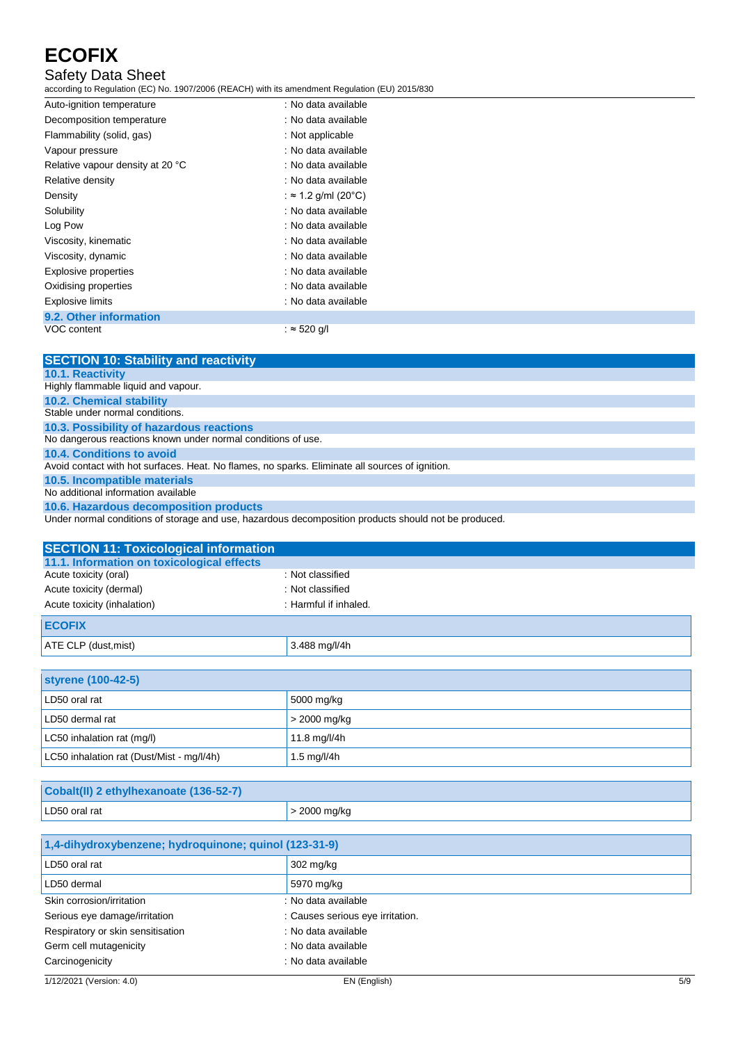# Safety Data Sheet

according to Regulation (EC) No. 1907/2006 (REACH) with its amendment Regulation (EU) 2015/830

VOC content : ≈ 520 g/l

| Auto-ignition temperature        | : No data available       |
|----------------------------------|---------------------------|
| Decomposition temperature        | : No data available       |
| Flammability (solid, gas)        | : Not applicable          |
| Vapour pressure                  | : No data available       |
| Relative vapour density at 20 °C | : No data available       |
| Relative density                 | : No data available       |
| Density                          | $\approx$ 1.2 g/ml (20°C) |
| Solubility                       | : No data available       |
| Log Pow                          | : No data available       |
| Viscosity, kinematic             | : No data available       |
| Viscosity, dynamic               | : No data available       |
| Explosive properties             | : No data available       |
| Oxidising properties             | : No data available       |
| <b>Explosive limits</b>          | : No data available       |
| 9.2. Other information           |                           |

| <b>SECTION 10: Stability and reactivity</b>                                                     |
|-------------------------------------------------------------------------------------------------|
| <b>10.1. Reactivity</b>                                                                         |
| Highly flammable liquid and vapour.                                                             |
| <b>10.2. Chemical stability</b>                                                                 |
| Stable under normal conditions.                                                                 |
| 10.3. Possibility of hazardous reactions                                                        |
| No dangerous reactions known under normal conditions of use.                                    |
| 10.4. Conditions to avoid                                                                       |
| Avoid contact with hot surfaces. Heat. No flames, no sparks. Eliminate all sources of ignition. |
| 10.5. Incompatible materials                                                                    |
| No additional information available                                                             |
| 10.6. Hazardous decomposition products                                                          |
| .                                                                                               |

Under normal conditions of storage and use, hazardous decomposition products should not be produced.

| <b>SECTION 11: Toxicological information</b> |                       |
|----------------------------------------------|-----------------------|
| 11.1. Information on toxicological effects   |                       |
| Acute toxicity (oral)                        | : Not classified      |
| Acute toxicity (dermal)                      | : Not classified      |
| Acute toxicity (inhalation)                  | : Harmful if inhaled. |
| <b>ECOFIX</b>                                |                       |
| ATE CLP (dust, mist)                         | 3.488 mg/l/4h         |

| <b>styrene (100-42-5)</b>                 |                |
|-------------------------------------------|----------------|
| LD50 oral rat                             | 5000 mg/kg     |
| LD50 dermal rat                           | $>$ 2000 mg/kg |
| LC50 inhalation rat (mg/l)                | 11.8 mg/l/4h   |
| LC50 inhalation rat (Dust/Mist - mg/l/4h) | 1.5 mg/l/4h    |

| Cobalt(II) 2 ethylhexanoate (136-52-7) |              |
|----------------------------------------|--------------|
| LD50 oral rat                          | > 2000 mg/kg |

| 1,4-dihydroxybenzene; hydroquinone; quinol (123-31-9) |                                  |     |
|-------------------------------------------------------|----------------------------------|-----|
| LD50 oral rat                                         | 302 mg/kg                        |     |
| LD50 dermal                                           | 5970 mg/kg                       |     |
| Skin corrosion/irritation                             | : No data available              |     |
| Serious eye damage/irritation                         | : Causes serious eye irritation. |     |
| Respiratory or skin sensitisation                     | : No data available              |     |
| Germ cell mutagenicity                                | : No data available              |     |
| Carcinogenicity                                       | : No data available              |     |
| 1/12/2021 (Version: 4.0)                              | EN (English)                     | 5/9 |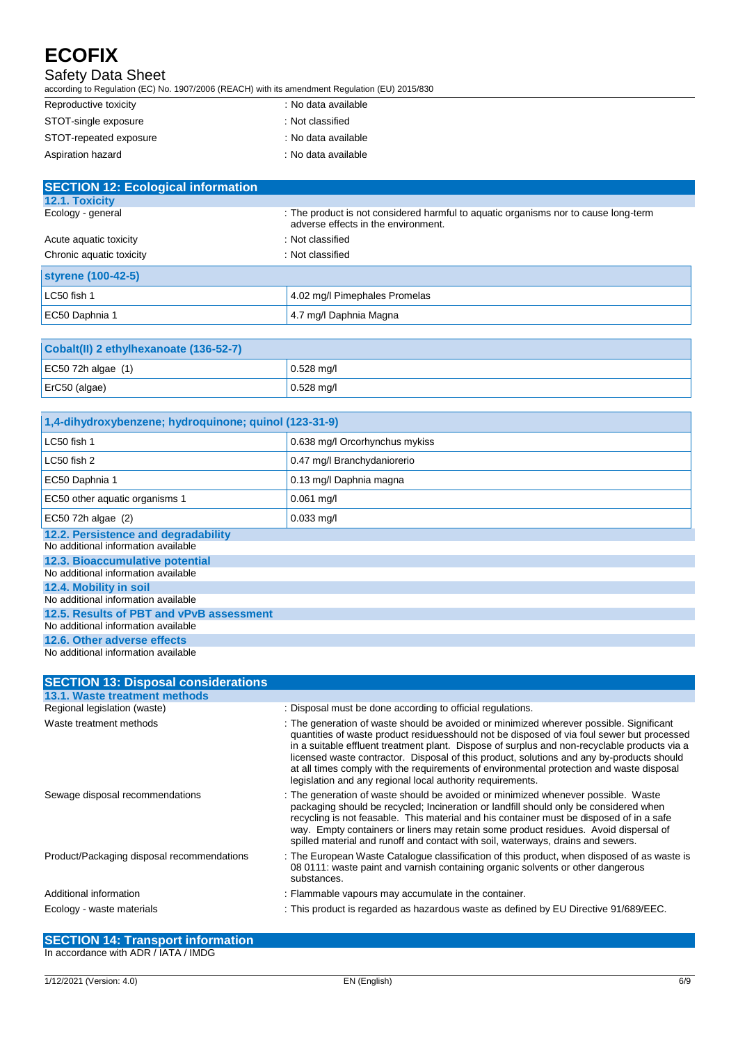## Safety Data Sheet

according to Regulation (EC) No. 1907/2006 (REACH) with its amendment Regulation (EU) 2015/830

| Reproductive toxicity  | : No data available |
|------------------------|---------------------|
| STOT-single exposure   | : Not classified    |
| STOT-repeated exposure | : No data available |
| Aspiration hazard      | : No data available |

| <b>SECTION 12: Ecological information</b> |                                                                                                                            |
|-------------------------------------------|----------------------------------------------------------------------------------------------------------------------------|
| <b>12.1. Toxicity</b>                     |                                                                                                                            |
| Ecology - general                         | : The product is not considered harmful to aquatic organisms nor to cause long-term<br>adverse effects in the environment. |
| Acute aguatic toxicity                    | : Not classified                                                                                                           |
| Chronic aquatic toxicity                  | : Not classified                                                                                                           |
| styrene (100-42-5)                        |                                                                                                                            |
| LC50 fish 1                               | 4.02 mg/l Pimephales Promelas                                                                                              |
| EC50 Daphnia 1                            | 4.7 mg/l Daphnia Magna                                                                                                     |

| Cobalt(II) 2 ethylhexanoate (136-52-7) |                        |
|----------------------------------------|------------------------|
| EC50 72h algae $(1)$                   | $ 0.528 \text{ m}$ g/l |
| $ETC50$ (algae)                        | $0.528$ mg/l           |

| 1,4-dihydroxybenzene; hydroquinone; quinol (123-31-9)                      |                                |  |
|----------------------------------------------------------------------------|--------------------------------|--|
| LC50 fish 1                                                                | 0.638 mg/l Orcorhynchus mykiss |  |
| $LC50$ fish 2                                                              | 0.47 mg/l Branchydaniorerio    |  |
| EC50 Daphnia 1                                                             | 0.13 mg/l Daphnia magna        |  |
| EC50 other aquatic organisms 1                                             | $0.061$ mg/l                   |  |
| EC50 72h algae (2)                                                         | $0.033$ mg/l                   |  |
| 12.2. Persistence and degradability<br>No additional information available |                                |  |
| 12.3. Bioaccumulative potential<br>No additional information available     |                                |  |
| 12.4. Mobility in soil<br>No additional information available              |                                |  |
| 12.5. Results of PBT and vPvB assessment                                   |                                |  |
| No additional information available                                        |                                |  |
| 12.6. Other adverse effects                                                |                                |  |
| No additional information available                                        |                                |  |

| <b>SECTION 13: Disposal considerations</b> |                                                                                                                                                                                                                                                                                                                                                                                                                                                                                                                                              |
|--------------------------------------------|----------------------------------------------------------------------------------------------------------------------------------------------------------------------------------------------------------------------------------------------------------------------------------------------------------------------------------------------------------------------------------------------------------------------------------------------------------------------------------------------------------------------------------------------|
| 13.1. Waste treatment methods              |                                                                                                                                                                                                                                                                                                                                                                                                                                                                                                                                              |
| Regional legislation (waste)               | : Disposal must be done according to official regulations.                                                                                                                                                                                                                                                                                                                                                                                                                                                                                   |
| Waste treatment methods                    | : The generation of waste should be avoided or minimized wherever possible. Significant<br>quantities of waste product residuesshould not be disposed of via foul sewer but processed<br>in a suitable effluent treatment plant. Dispose of surplus and non-recyclable products via a<br>licensed waste contractor. Disposal of this product, solutions and any by-products should<br>at all times comply with the requirements of environmental protection and waste disposal<br>legislation and any regional local authority requirements. |
| Sewage disposal recommendations            | : The generation of waste should be avoided or minimized whenever possible. Waste<br>packaging should be recycled; Incineration or landfill should only be considered when<br>recycling is not feasable. This material and his container must be disposed of in a safe<br>way. Empty containers or liners may retain some product residues. Avoid dispersal of<br>spilled material and runoff and contact with soil, waterways, drains and sewers.                                                                                           |
| Product/Packaging disposal recommendations | : The European Waste Catalogue classification of this product, when disposed of as waste is<br>08 0111: waste paint and varnish containing organic solvents or other dangerous<br>substances.                                                                                                                                                                                                                                                                                                                                                |
| Additional information                     | : Flammable vapours may accumulate in the container.                                                                                                                                                                                                                                                                                                                                                                                                                                                                                         |
| Ecology - waste materials                  | : This product is regarded as hazardous waste as defined by EU Directive 91/689/EEC.                                                                                                                                                                                                                                                                                                                                                                                                                                                         |

**SECTION 14: Transport information** In accordance with ADR / IATA / IMDG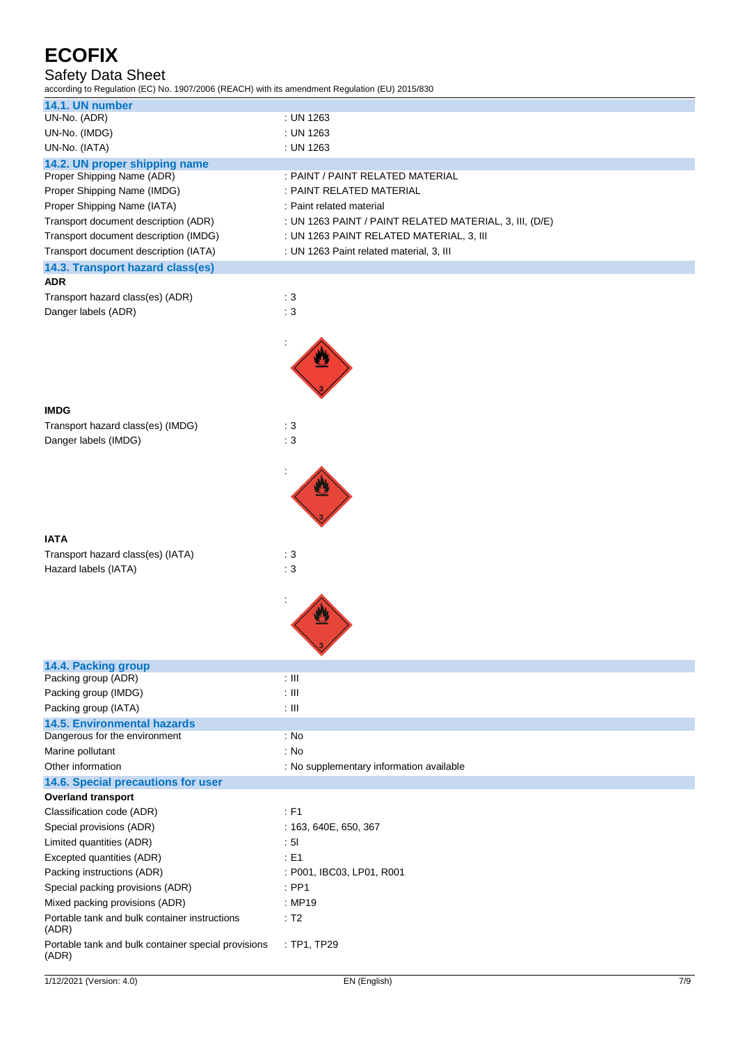# Safety Data Sheet

according to Regulation (EC) No. 1907/2006 (REACH) with its amendment Regulation (EU) 2015/830

| 14.1. UN number                                     |                                                         |
|-----------------------------------------------------|---------------------------------------------------------|
| UN-No. (ADR)                                        | : UN 1263                                               |
| UN-No. (IMDG)                                       | : UN 1263                                               |
| UN-No. (IATA)                                       | : UN 1263                                               |
| 14.2. UN proper shipping name                       |                                                         |
| Proper Shipping Name (ADR)                          | : PAINT / PAINT RELATED MATERIAL                        |
| Proper Shipping Name (IMDG)                         | : PAINT RELATED MATERIAL                                |
| Proper Shipping Name (IATA)                         | : Paint related material                                |
| Transport document description (ADR)                | : UN 1263 PAINT / PAINT RELATED MATERIAL, 3, III, (D/E) |
| Transport document description (IMDG)               | : UN 1263 PAINT RELATED MATERIAL, 3, III                |
| Transport document description (IATA)               | : UN 1263 Paint related material, 3, III                |
| 14.3. Transport hazard class(es)                    |                                                         |
| <b>ADR</b>                                          |                                                         |
| Transport hazard class(es) (ADR)                    | : 3                                                     |
| Danger labels (ADR)                                 | : 3                                                     |
|                                                     |                                                         |
|                                                     |                                                         |
|                                                     |                                                         |
|                                                     |                                                         |
|                                                     |                                                         |
| <b>IMDG</b>                                         |                                                         |
| Transport hazard class(es) (IMDG)                   | : 3                                                     |
| Danger labels (IMDG)                                | : 3                                                     |
|                                                     |                                                         |
|                                                     |                                                         |
|                                                     |                                                         |
|                                                     |                                                         |
|                                                     |                                                         |
|                                                     |                                                         |
| <b>IATA</b>                                         |                                                         |
| Transport hazard class(es) (IATA)                   | :3                                                      |
| Hazard labels (IATA)                                | $\therefore$ 3                                          |
|                                                     |                                                         |
|                                                     |                                                         |
|                                                     |                                                         |
|                                                     |                                                         |
|                                                     |                                                         |
| 14.4. Packing group                                 |                                                         |
| Packing group (ADR)                                 | $\pm$ III                                               |
| Packing group (IMDG)                                | $: \mathbb{H}$                                          |
| Packing group (IATA)                                | $: \mathbb{H}$                                          |
| <b>14.5. Environmental hazards</b>                  |                                                         |
| Dangerous for the environment                       | : No                                                    |
| Marine pollutant                                    | : No                                                    |
| Other information                                   | : No supplementary information available                |
| 14.6. Special precautions for user                  |                                                         |
| <b>Overland transport</b>                           |                                                         |
| Classification code (ADR)                           | $\div$ F1                                               |
| Special provisions (ADR)                            | : 163, 640E, 650, 367                                   |
| Limited quantities (ADR)                            | : 51                                                    |
| Excepted quantities (ADR)                           | $\div$ E1                                               |
| Packing instructions (ADR)                          | : P001, IBC03, LP01, R001                               |
| Special packing provisions (ADR)                    | $:$ PP1                                                 |
| Mixed packing provisions (ADR)                      | : MP19                                                  |
| Portable tank and bulk container instructions       | $\therefore$ T2                                         |
| (ADR)                                               |                                                         |
| Portable tank and bulk container special provisions | : TP1, TP29                                             |
| (ADR)                                               |                                                         |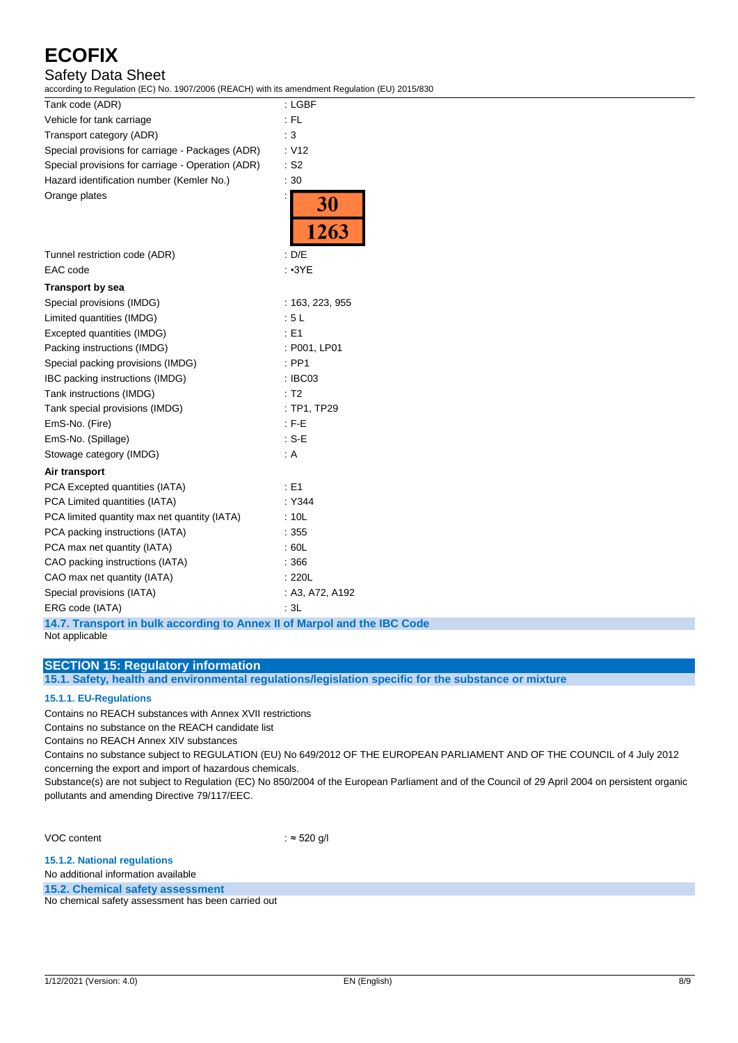# Safety Data Sheet

according to Regulation (EC) No. 1907/2006 (REACH) with its amendment Regulation (EU) 2015/830

| Tank code (ADR)                                   | : LGBF             |
|---------------------------------------------------|--------------------|
| Vehicle for tank carriage                         | : FL               |
| Transport category (ADR)                          | $\therefore$ 3     |
| Special provisions for carriage - Packages (ADR)  | : V12              |
| Special provisions for carriage - Operation (ADR) | $:$ S <sub>2</sub> |
| Hazard identification number (Kemler No.)         | : 30               |
| Orange plates                                     | 30<br>1263         |
| Tunnel restriction code (ADR)                     | : D/E              |
| EAC code                                          | : 3YE              |
| <b>Transport by sea</b>                           |                    |
| Special provisions (IMDG)                         | : 163, 223, 955    |
| Limited quantities (IMDG)                         | : 5L               |
| Excepted quantities (IMDG)                        | : E1               |
| Packing instructions (IMDG)                       | : P001, LP01       |
| Special packing provisions (IMDG)                 | $:$ PP1            |
| IBC packing instructions (IMDG)                   | : IBC03            |
| Tank instructions (IMDG)                          | : T2               |
| Tank special provisions (IMDG)                    | : TP1, TP29        |
| EmS-No. (Fire)                                    | $:$ F-E            |
| EmS-No. (Spillage)                                | $: S-E$            |
| Stowage category (IMDG)                           | : A                |
| Air transport                                     |                    |
| PCA Excepted quantities (IATA)                    | : E1               |
| PCA Limited quantities (IATA)                     | : Y344             |
| PCA limited quantity max net quantity (IATA)      | : 10L              |
| PCA packing instructions (IATA)                   | :355               |
| PCA max net quantity (IATA)                       | :60L               |
| CAO packing instructions (IATA)                   | :366               |
| CAO max net quantity (IATA)                       | :220L              |
| Special provisions (IATA)                         | : A3, A72, A192    |
| ERG code (IATA)                                   | : 3L               |

**14.7. Transport in bulk according to Annex II of Marpol and the IBC Code** Not applicable

### **SECTION 15: Regulatory information**

**15.1. Safety, health and environmental regulations/legislation specific for the substance or mixture**

### **15.1.1. EU-Regulations**

Contains no REACH substances with Annex XVII restrictions

Contains no substance on the REACH candidate list

Contains no REACH Annex XIV substances

Contains no substance subject to REGULATION (EU) No 649/2012 OF THE EUROPEAN PARLIAMENT AND OF THE COUNCIL of 4 July 2012 concerning the export and import of hazardous chemicals.

Substance(s) are not subject to Regulation (EC) No 850/2004 of the European Parliament and of the Council of 29 April 2004 on persistent organic pollutants and amending Directive 79/117/EEC.

VOC content : ≈ 520 g/l

**15.1.2. National regulations**

No additional information available

**15.2. Chemical safety assessment**

No chemical safety assessment has been carried out